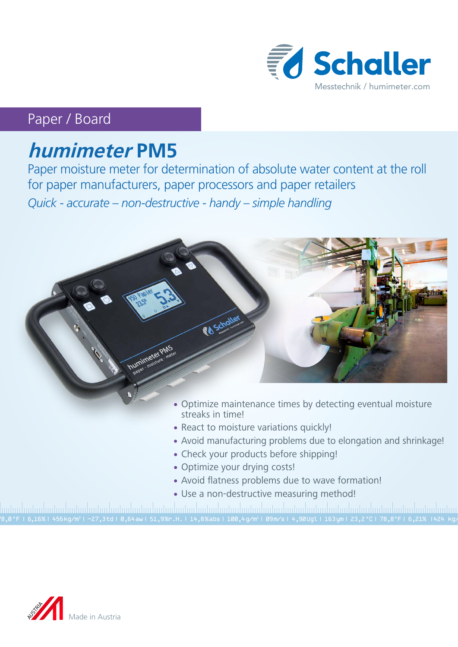

## Paper / Board

# **humimeter PM5**

Paper moisture meter for determination of absolute water content at the roll for paper manufacturers, paper processors and paper retailers *Quick - accurate – non-destructive - handy – simple handling*



- streaks in time!
- React to moisture variations quickly!
- Avoid manufacturing problems due to elongation and shrinkage!
- Check your products before shipping!
- Optimize your drying costs!
- Avoid flatness problems due to wave formation!
- Use a non-destructive measuring method!

78,0 °F | 6,16%| 456 kg/m3 | -27,3 td| 0,64 aw| 51,9 %r.H.| 14,8 % abs| 100,4 g/m2 | 09 m/s| 4,90 Ugl| 163 ym| 23,2 °C| 78,8°F| 6,21% |424 kg/m